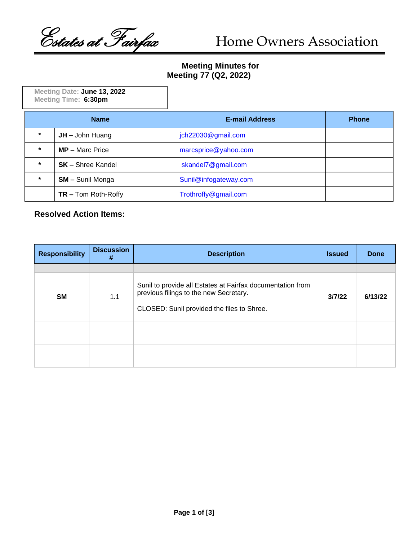Costates at Fairfax Home Owners Association

## **Meeting Minutes for Meeting 77 (Q2, 2022)**

| Meeting Date: June 13, 2022<br>Meeting Time: 6:30pm |                          |                       |              |
|-----------------------------------------------------|--------------------------|-----------------------|--------------|
| <b>Name</b>                                         |                          | <b>E-mail Address</b> | <b>Phone</b> |
| $\star$                                             | $JH -$ John Huang        | jch22030@gmail.com    |              |
| $\star$                                             | $MP - Marc$ Price        | marcsprice@yahoo.com  |              |
| $\star$                                             | <b>SK</b> – Shree Kandel | skandel7@gmail.com    |              |
| $\star$                                             | <b>SM - Sunil Monga</b>  | Sunil@infogateway.com |              |
|                                                     | $TR$ – Tom Roth-Roffy    | Trothroffy@gmail.com  |              |

## **Resolved Action Items:**

| <b>Responsibility</b> | <b>Discussion</b><br># | <b>Description</b>                                                                                                                                 | <b>Issued</b> | <b>Done</b> |
|-----------------------|------------------------|----------------------------------------------------------------------------------------------------------------------------------------------------|---------------|-------------|
|                       |                        |                                                                                                                                                    |               |             |
| <b>SM</b>             | 1.1                    | Sunil to provide all Estates at Fairfax documentation from<br>previous filings to the new Secretary.<br>CLOSED: Sunil provided the files to Shree. | 3/7/22        | 6/13/22     |
|                       |                        |                                                                                                                                                    |               |             |
|                       |                        |                                                                                                                                                    |               |             |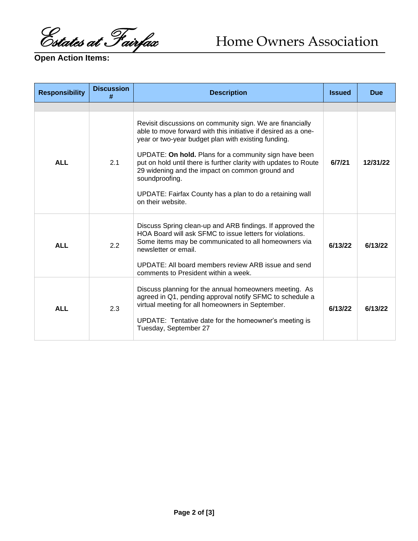Costates at Fairfax Home Owners Association

**Open Action Items:**

| <b>Responsibility</b> | <b>Discussion</b><br># | <b>Description</b>                                                                                                                                                                                                                                                                                                                                                                                                                                                   | <b>Issued</b> | <b>Due</b> |
|-----------------------|------------------------|----------------------------------------------------------------------------------------------------------------------------------------------------------------------------------------------------------------------------------------------------------------------------------------------------------------------------------------------------------------------------------------------------------------------------------------------------------------------|---------------|------------|
|                       |                        |                                                                                                                                                                                                                                                                                                                                                                                                                                                                      |               |            |
| <b>ALL</b>            | 2.1                    | Revisit discussions on community sign. We are financially<br>able to move forward with this initiative if desired as a one-<br>year or two-year budget plan with existing funding.<br>UPDATE: On hold. Plans for a community sign have been<br>put on hold until there is further clarity with updates to Route<br>29 widening and the impact on common ground and<br>soundproofing.<br>UPDATE: Fairfax County has a plan to do a retaining wall<br>on their website | 6/7/21        | 12/31/22   |
| <b>ALL</b>            | 2.2                    | Discuss Spring clean-up and ARB findings. If approved the<br>HOA Board will ask SFMC to issue letters for violations.<br>Some items may be communicated to all homeowners via<br>newsletter or email.<br>UPDATE: All board members review ARB issue and send<br>comments to President within a week.                                                                                                                                                                 | 6/13/22       | 6/13/22    |
| <b>ALL</b>            | 2.3                    | Discuss planning for the annual homeowners meeting. As<br>agreed in Q1, pending approval notify SFMC to schedule a<br>virtual meeting for all homeowners in September.<br>UPDATE: Tentative date for the homeowner's meeting is<br>Tuesday, September 27                                                                                                                                                                                                             | 6/13/22       | 6/13/22    |